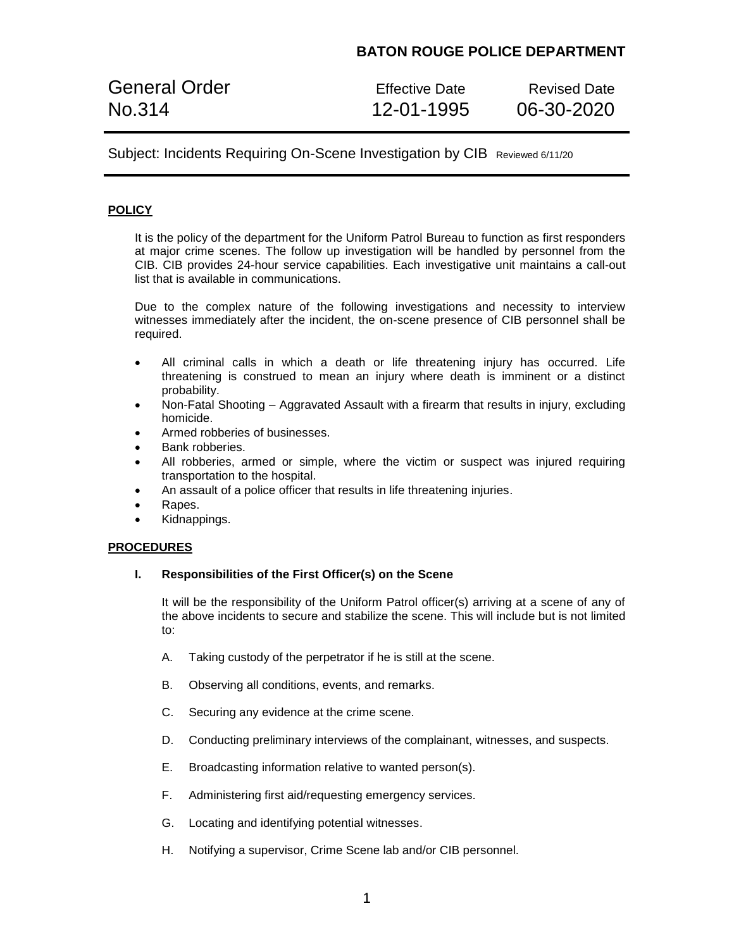General Order **Effective Date** Revised Date No.314 12-01-1995 06-30-2020

Subject: Incidents Requiring On-Scene Investigation by CIB Reviewed 6/11/20

# **POLICY**

It is the policy of the department for the Uniform Patrol Bureau to function as first responders at major crime scenes. The follow up investigation will be handled by personnel from the CIB. CIB provides 24-hour service capabilities. Each investigative unit maintains a call-out list that is available in communications.

Due to the complex nature of the following investigations and necessity to interview witnesses immediately after the incident, the on-scene presence of CIB personnel shall be required.

- All criminal calls in which a death or life threatening injury has occurred. Life threatening is construed to mean an injury where death is imminent or a distinct probability.
- Non-Fatal Shooting Aggravated Assault with a firearm that results in injury, excluding homicide.
- Armed robberies of businesses.
- Bank robberies.
- All robberies, armed or simple, where the victim or suspect was injured requiring transportation to the hospital.
- An assault of a police officer that results in life threatening injuries.
- Rapes.
- Kidnappings.

## **PROCEDURES**

### **I. Responsibilities of the First Officer(s) on the Scene**

It will be the responsibility of the Uniform Patrol officer(s) arriving at a scene of any of the above incidents to secure and stabilize the scene. This will include but is not limited to:

- A. Taking custody of the perpetrator if he is still at the scene.
- B. Observing all conditions, events, and remarks.
- C. Securing any evidence at the crime scene.
- D. Conducting preliminary interviews of the complainant, witnesses, and suspects.
- E. Broadcasting information relative to wanted person(s).
- F. Administering first aid/requesting emergency services.
- G. Locating and identifying potential witnesses.
- H. Notifying a supervisor, Crime Scene lab and/or CIB personnel.